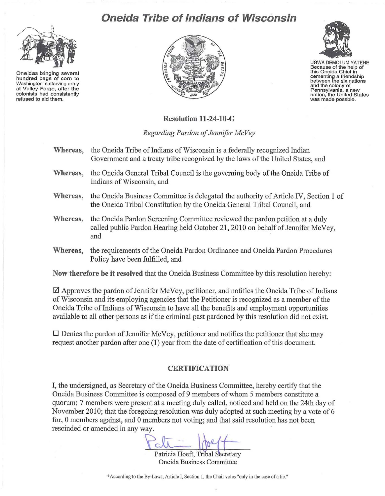## **Oneida Tribe of Indians of Wisconsin**



**Oneidas bringing several hundred bags of corn to Washington' s starving army at Valley Forge, after the colonists had consistently refused to aid them.** 





UGWA DEMOLUM YATEHE **Because of the help of this Oneida Chief in cementing a friendship between the six nations and the cOlony of Pennsylvania, a new nation, the United States was made possble.** 

## **Resolution 11-24-10-G**

*Regarding Pardon of Jennifer McVey* 

- **Whereas,** the Oneida Tribe of Indians of Wisconsin is a federally recognized Indian Government and a treaty tribe recognized by the laws of the United States, and
- **Whereas,** the Oneida General Tribal Council is the governing body of the Oneida Tribe of Indians of Wisconsin, and
- **Whereas,** the Oneida Business Committee is delegated the authority of Article IV, Section I of the Oneida Tribal Constitution by the Oneida General Tribal Council, and
- **Whereas,** the Oneida Pardon Screening Committee reviewed the pardon petition at a duly called public Pardon Hearing held October 21, 2010 on behalf of Jennifer McVey, and
- Whereas, the requirements of the Oneida Pardon Ordinance and Oneida Pardon Procedures Policy have been fulfilled, and

**Now therefore be it resolved** that the Oneida Business Committee by this resolution hereby:

 $\boxtimes$  Approves the pardon of Jennifer McVey, petitioner, and notifies the Oneida Tribe of Indians of Wisconsin and its employing agencies that the Petitioner is recognized as a member of the Oneida Tribe of Indians of Wisconsin to have all the benefits and employment opportunities available to all other persons as if the criminal past pardoned by this resolution did not exist.

 $\square$  Denies the pardon of Jennifer McVey, petitioner and notifies the petitioner that she may request another pardon after one (1) year from the date of certification of this document.

## **CERTIFICATION**

I, the undersigned, as Secretary of the Oneida Business Committee, hereby certify that the Oneida Business Committee is composed of 9 members of whom 5 members constitute a quorum; 7 members were present at a meeting duly called, noticed and held on the 24th day of November 2010; that the foregoing resolution was duly adopted at such meeting by a vote of 6 for, 0 members against, and 0 members not voting; and that said resolution has not been rescinded or amended in any way.

Patricia Hoeft, Tribal Secretary Oneida Business Committee